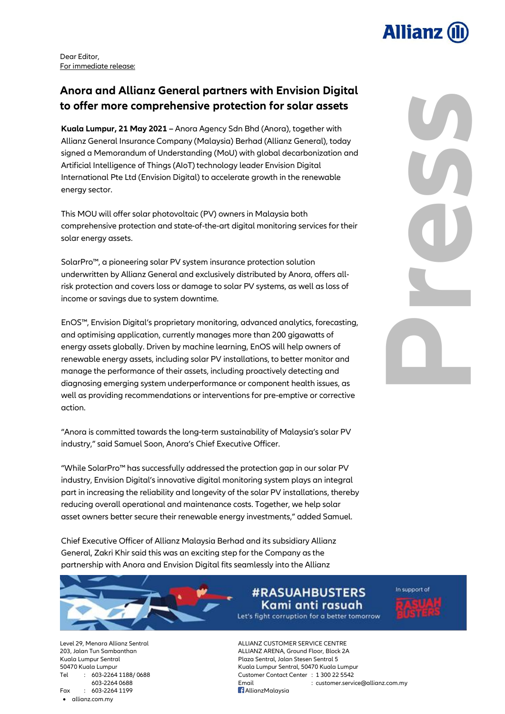

**Press**

Dear Editor, For immediate release:

# **Anora and Allianz General partners with Envision Digital to offer more comprehensive protection for solar assets**

**Kuala Lumpur, 21 May 2021 –** Anora Agency Sdn Bhd (Anora), together with Allianz General Insurance Company (Malaysia) Berhad (Allianz General), today signed a Memorandum of Understanding (MoU) with global decarbonization and Artificial Intelligence of Things (AIoT) technology leader Envision Digital International Pte Ltd (Envision Digital) to accelerate growth in the renewable energy sector.

This MOU will offer solar photovoltaic (PV) owners in Malaysia both comprehensive protection and state-of-the-art digital monitoring services for their solar energy assets.

SolarPro™, a pioneering solar PV system insurance protection solution underwritten by Allianz General and exclusively distributed by Anora, offers allrisk protection and covers loss or damage to solar PV systems, as well as loss of income or savings due to system downtime.

EnOS™, Envision Digital's proprietary monitoring, advanced analytics, forecasting, and optimising application, currently manages more than 200 gigawatts of energy assets globally. Driven by machine learning, EnOS will help owners of renewable energy assets, including solar PV installations, to better monitor and manage the performance of their assets, including proactively detecting and diagnosing emerging system underperformance or component health issues, as well as providing recommendations or interventions for pre-emptive or corrective action.

"Anora is committed towards the long-term sustainability of Malaysia's solar PV industry," said Samuel Soon, Anora's Chief Executive Officer.

"While SolarPro™ has successfully addressed the protection gap in our solar PV industry, Envision Digital's innovative digital monitoring system plays an integral part in increasing the reliability and longevity of the solar PV installations, thereby reducing overall operational and maintenance costs. Together, we help solar asset owners better secure their renewable energy investments," added Samuel.

Chief Executive Officer of Allianz Malaysia Berhad and its subsidiary Allianz General, Zakri Khir said this was an exciting step for the Company as the partnership with Anora and Envision Digital fits seamlessly into the Allianz

> **#RASUAHBUSTERS** Kami anti rasuah

Let's fight corruption for a better tomorrow

In support of

Fax : 603-2264 1199 **AllianzMalaysia** allianz.com.my

Level 29, Menara Allianz Sentral ALLIANZ CUSTOMER SERVICE CENTRE 203, Jalan Tun Sambanthan ALLIANZ ARENA, Ground Floor, Block 2A Kuala Lumpur Sentral Plaza Sentral, Jalan Stesen Sentral 5 50470 Kuala Lumpur Kuala Lumpur Sentral, 50470 Kuala Lumpur Tel : 603-2264 1188/ 0688 Customer Contact Center : 1 300 22 5542 603-2264 0688 Email : customer.service@allianz.com.my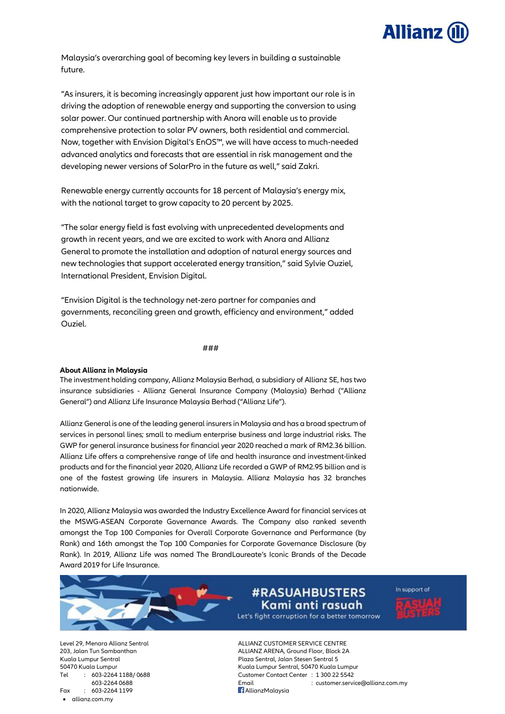

Malaysia's overarching goal of becoming key levers in building a sustainable future.

"As insurers, it is becoming increasingly apparent just how important our role is in driving the adoption of renewable energy and supporting the conversion to using solar power. Our continued partnership with Anora will enable us to provide comprehensive protection to solar PV owners, both residential and commercial. Now, together with Envision Digital's EnOS™, we will have access to much-needed advanced analytics and forecasts that are essential in risk management and the developing newer versions of SolarPro in the future as well," said Zakri.

Renewable energy currently accounts for 18 percent of Malaysia's energy mix, with the national target to grow capacity to 20 percent by 2025.

"The solar energy field is fast evolving with unprecedented developments and growth in recent years, and we are excited to work with Anora and Allianz General to promote the installation and adoption of natural energy sources and new technologies that support accelerated energy transition," said Sylvie Ouziel, International President, Envision Digital.

"Envision Digital is the technology net-zero partner for companies and governments, reconciling green and growth, efficiency and environment," added Ouziel.

###

## **About Allianz in Malaysia**

The investment holding company, Allianz Malaysia Berhad, a subsidiary of Allianz SE, has two insurance subsidiaries - Allianz General Insurance Company (Malaysia) Berhad ("Allianz General") and Allianz Life Insurance Malaysia Berhad ("Allianz Life").

Allianz General is one of the leading general insurers in Malaysia and has a broad spectrum of services in personal lines; small to medium enterprise business and large industrial risks. The GWP for general insurance business for financial year 2020 reached a mark of RM2.36 billion. Allianz Life offers a comprehensive range of life and health insurance and investment-linked products and for the financial year 2020, Allianz Life recorded a GWP of RM2.95 billion and is one of the fastest growing life insurers in Malaysia. Allianz Malaysia has 32 branches nationwide.

In 2020, Allianz Malaysia was awarded the Industry Excellence Award for financial services at the MSWG-ASEAN Corporate Governance Awards. The Company also ranked seventh amongst the Top 100 Companies for Overall Corporate Governance and Performance (by Rank) and 16th amongst the Top 100 Companies for Corporate Governance Disclosure (by Rank). In 2019, Allianz Life was named The BrandLaureate's Iconic Brands of the Decade Award 2019 for Life Insurance.



## **#RASUAHBUSTERS** Kami anti rasuah

In support of

Let's fight corruption for a better tomorrow

Level 29, Menara Allianz Sentral ALLIANZ CUSTOMER SERVICE CENTRE Fax : 603-2264 1199 **AllianzMalaysia** allianz.com.my

203, Jalan Tun Sambanthan ALLIANZ ARENA, Ground Floor, Block 2A Kuala Lumpur Sentral Plaza Sentral, Jalan Stesen Sentral 5 50470 Kuala Lumpur Kuala Lumpur Sentral, 50470 Kuala Lumpur Tel : 603-2264 1188/ 0688 Customer Contact Center : 1 300 22 5542 603-2264 0688 Email : customer.service@allianz.com.my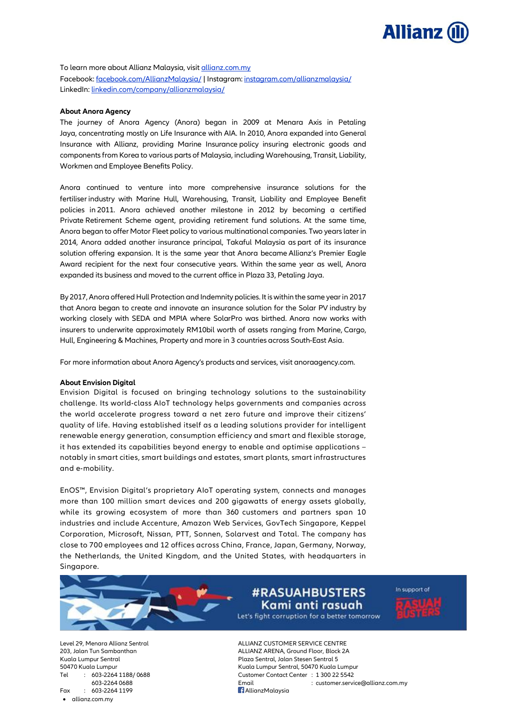

To learn more about Allianz Malaysia, visit allianz.com.my Facebook: [facebook.com/AllianzMalaysia/](https://www.facebook.com/AllianzMalaysia/) | Instagram: [instagram.com/allianzmalaysia/](http://www.instagram.com/allianzmalaysia/) LinkedIn: [linkedin.com/company/allianzmalaysia/](https://www.linkedin.com/company/allianzmalaysia/)

## **About Anora Agency**

The journey of Anora Agency (Anora) began in 2009 at Menara Axis in Petaling Jaya, concentrating mostly on Life Insurance with AIA. In 2010, Anora expanded into General Insurance with Allianz, providing Marine Insurance policy insuring electronic goods and components from Korea to various parts of Malaysia, including Warehousing, Transit, Liability, Workmen and Employee Benefits Policy.

Anora continued to venture into more comprehensive insurance solutions for the fertiliser industry with Marine Hull, Warehousing, Transit, Liability and Employee Benefit policies in 2011. Anora achieved another milestone in 2012 by becoming a certified Private Retirement Scheme agent, providing retirement fund solutions. At the same time, Anora began to offer Motor Fleet policy to various multinational companies. Two years later in 2014, Anora added another insurance principal, Takaful Malaysia as part of its insurance solution offering expansion. It is the same year that Anora became Allianz's Premier Eagle Award recipient for the next four consecutive years. Within the same year as well, Anora expanded its business and moved to the current office in Plaza 33, Petaling Jaya.

By 2017, Anora offered Hull Protection and Indemnity policies. It is within the same year in 2017 that Anora began to create and innovate an insurance solution for the Solar PV industry by working closely with SEDA and MPIA where SolarPro was birthed. Anora now works with insurers to underwrite approximately RM10bil worth of assets ranging from Marine, Cargo, Hull, Engineering & Machines, Property and more in 3 countries across South-East Asia.

For more information about Anora Agency's products and services, visit anoraagency.com.

### **About Envision Digital**

Envision Digital is focused on bringing technology solutions to the sustainability challenge. Its world-class AIoT technology helps governments and companies across the world accelerate progress toward a net zero future and improve their citizens' quality of life. Having established itself as a leading solutions provider for intelligent renewable energy generation, consumption efficiency and smart and flexible storage, it has extended its capabilities beyond energy to enable and optimise applications – notably in smart cities, smart buildings and estates, smart plants, smart infrastructures and e-mobility.

EnOS™, Envision Digital's proprietary AIoT operating system, connects and manages more than 100 million smart devices and 200 gigawatts of energy assets globally, while its growing ecosystem of more than 360 customers and partners span 10 industries and include Accenture, Amazon Web Services, GovTech Singapore, Keppel Corporation, Microsoft, Nissan, PTT, Sonnen, Solarvest and Total. The company has close to 700 employees and 12 offices across China, France, Japan, Germany, Norway, the Netherlands, the United Kingdom, and the United States, with headquarters in Singapore.



Let's fight corruption for a better tomorrow

In support of

Fax : 603-2264 1199 **AllianzMalaysia** allianz.com.my

Level 29, Menara Allianz Sentral ALLIANZ CUSTOMER SERVICE CENTRE 203, Jalan Tun Sambanthan ALLIANZ ARENA, Ground Floor, Block 2A Kuala Lumpur Sentral Plaza Sentral, Jalan Stesen Sentral 5 50470 Kuala Lumpur Kuala Lumpur Sentral, 50470 Kuala Lumpur Tel : 603-2264 1188/ 0688 Customer Contact Center : 1 300 22 5542 603-2264 0688 Email : customer.service@allianz.com.my